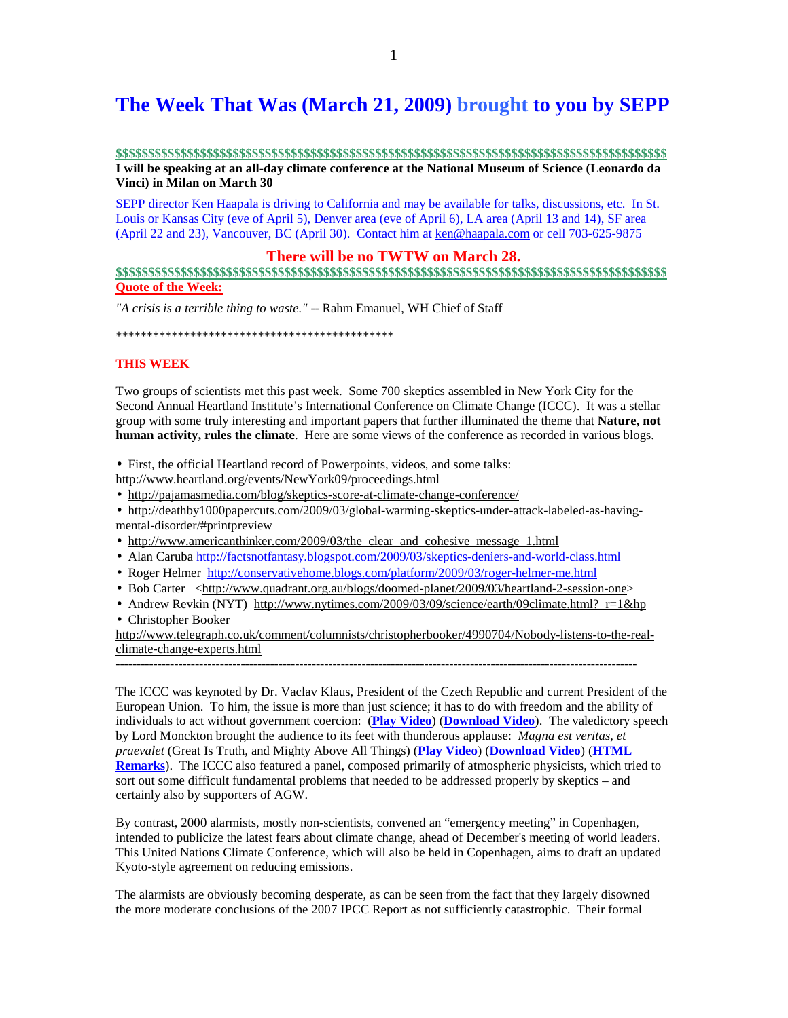## **The Week That Was (March 21, 2009) brought to you by SEPP**

#### **\$\$\$\$\$\$\$\$\$\$\$\$\$\$\$\$\$\$\$\$\$\$\$\$\$\$\$\$\$\$\$\$\$\$\$\$\$\$\$\$\$\$\$\$\$\$\$\$\$\$\$\$\$\$\$\$\$\$\$\$\$\$\$\$\$\$\$\$\$\$\$\$\$\$\$\$\$\$\$\$\$\$\$\$\$ I will be speaking at an all-day climate conference at the National Museum of Science (Leonardo da Vinci) in Milan on March 30**

SEPP director Ken Haapala is driving to California and may be available for talks, discussions, etc. In St. Louis or Kansas City (eve of April 5), Denver area (eve of April 6), LA area (April 13 and 14), SF area (April 22 and 23), Vancouver, BC (April 30). Contact him at ken@haapala.com or cell 703-625-9875

### **There will be no TWTW on March 28.**

## **\$\$\$\$\$\$\$\$\$\$\$\$\$\$\$\$\$\$\$\$\$\$\$\$\$\$\$\$\$\$\$\$\$\$\$\$\$\$\$\$\$\$\$\$\$\$\$\$\$\$\$\$\$\$\$\$\$\$\$\$\$\$\$\$\$\$\$\$\$\$\$\$\$\$\$\$\$\$\$\$\$\$\$\$\$ Quote of the Week:**

*"A crisis is a terrible thing to waste."* -- Rahm Emanuel, WH Chief of Staff

\*\*\*\*\*\*\*\*\*\*\*\*\*\*\*\*\*\*\*\*\*\*\*\*\*\*\*\*\*\*\*\*\*\*\*\*\*\*\*\*\*\*\*\*\*

#### **THIS WEEK**

Two groups of scientists met this past week. Some 700 skeptics assembled in New York City for the Second Annual Heartland Institute's International Conference on Climate Change (ICCC). It was a stellar group with some truly interesting and important papers that further illuminated the theme that **Nature, not human activity, rules the climate**. Here are some views of the conference as recorded in various blogs.

• First, the official Heartland record of Powerpoints, videos, and some talks:

- http://www.heartland.org/events/NewYork09/proceedings.html
- http://pajamasmedia.com/blog/skeptics-score-at-climate-change-conference/
- http://deathby1000papercuts.com/2009/03/global-warming-skeptics-under-attack-labeled-as-havingmental-disorder/#printpreview
- http://www.americanthinker.com/2009/03/the\_clear\_and\_cohesive\_message\_1.html
- Alan Caruba http://factsnotfantasy.blogspot.com/2009/03/skeptics-deniers-and-world-class.html
- Roger Helmer http://conservativehome.blogs.com/platform/2009/03/roger-helmer-me.html
- Bob Carter <http://www.quadrant.org.au/blogs/doomed-planet/2009/03/heartland-2-session-one>
- Andrew Revkin (NYT) http://www.nytimes.com/2009/03/09/science/earth/09climate.html? r=1&hp • Christopher Booker

http://www.telegraph.co.uk/comment/columnists/christopherbooker/4990704/Nobody-listens-to-the-realclimate-change-experts.html

-----------------------------------------------------------------------------------------------------------------------------

The ICCC was keynoted by Dr. Vaclav Klaus, President of the Czech Republic and current President of the European Union. To him, the issue is more than just science; it has to do with freedom and the ability of individuals to act without government coercion: (**Play Video**) (**Download Video**). The valedictory speech by Lord Monckton brought the audience to its feet with thunderous applause: *Magna est veritas, et praevalet* (Great Is Truth, and Mighty Above All Things) (**Play Video**) (**Download Video**) (**HTML Remarks**). The ICCC also featured a panel, composed primarily of atmospheric physicists, which tried to sort out some difficult fundamental problems that needed to be addressed properly by skeptics – and certainly also by supporters of AGW.

By contrast, 2000 alarmists, mostly non-scientists, convened an "emergency meeting" in Copenhagen, intended to publicize the latest fears about climate change, ahead of December's meeting of world leaders. This United Nations Climate Conference, which will also be held in Copenhagen, aims to draft an updated Kyoto-style agreement on reducing emissions.

The alarmists are obviously becoming desperate, as can be seen from the fact that they largely disowned the more moderate conclusions of the 2007 IPCC Report as not sufficiently catastrophic. Their formal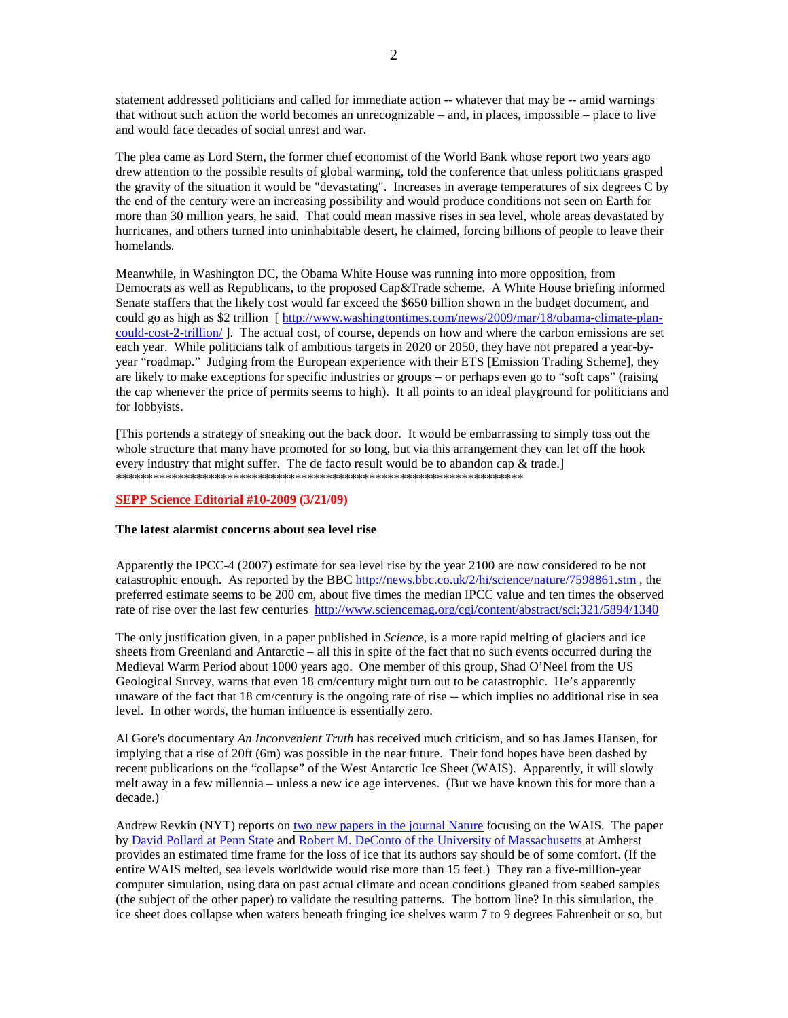statement addressed politicians and called for immediate action -- whatever that may be -- amid warnings that without such action the world becomes an unrecognizable – and, in places, impossible – place to live and would face decades of social unrest and war.

The plea came as Lord Stern, the former chief economist of the World Bank whose report two years ago drew attention to the possible results of global warming, told the conference that unless politicians grasped the gravity of the situation it would be "devastating". Increases in average temperatures of six degrees C by the end of the century were an increasing possibility and would produce conditions not seen on Earth for more than 30 million years, he said. That could mean massive rises in sea level, whole areas devastated by hurricanes, and others turned into uninhabitable desert, he claimed, forcing billions of people to leave their homelands.

Meanwhile, in Washington DC, the Obama White House was running into more opposition, from Democrats as well as Republicans, to the proposed Cap&Trade scheme. A White House briefing informed Senate staffers that the likely cost would far exceed the \$650 billion shown in the budget document, and could go as high as \$2 trillion [ http://www.washingtontimes.com/news/2009/mar/18/obama-climate-plancould-cost-2-trillion/ ]. The actual cost, of course, depends on how and where the carbon emissions are set each year. While politicians talk of ambitious targets in 2020 or 2050, they have not prepared a year-byyear "roadmap." Judging from the European experience with their ETS [Emission Trading Scheme], they are likely to make exceptions for specific industries or groups – or perhaps even go to "soft caps" (raising the cap whenever the price of permits seems to high). It all points to an ideal playground for politicians and for lobbyists.

[This portends a strategy of sneaking out the back door. It would be embarrassing to simply toss out the whole structure that many have promoted for so long, but via this arrangement they can let off the hook every industry that might suffer. The de facto result would be to abandon cap & trade.] \*\*\*\*\*\*\*\*\*\*\*\*\*\*\*\*\*\*\*\*\*\*\*\*\*\*\*\*\*\*\*\*\*\*\*\*\*\*\*\*\*\*\*\*\*\*\*\*\*\*\*\*\*\*\*\*\*\*\*\*\*\*\*\*\*\*

#### **SEPP Science Editorial #10-2009 (3/21/09)**

#### **The latest alarmist concerns about sea level rise**

Apparently the IPCC-4 (2007) estimate for sea level rise by the year 2100 are now considered to be not catastrophic enough. As reported by the BBC http://news.bbc.co.uk/2/hi/science/nature/7598861.stm , the preferred estimate seems to be 200 cm, about five times the median IPCC value and ten times the observed rate of rise over the last few centuries http://www.sciencemag.org/cgi/content/abstract/sci;321/5894/1340

The only justification given, in a paper published in *Science*, is a more rapid melting of glaciers and ice sheets from Greenland and Antarctic – all this in spite of the fact that no such events occurred during the Medieval Warm Period about 1000 years ago. One member of this group, Shad O'Neel from the US Geological Survey, warns that even 18 cm/century might turn out to be catastrophic. He's apparently unaware of the fact that 18 cm/century is the ongoing rate of rise -- which implies no additional rise in sea level. In other words, the human influence is essentially zero.

Al Gore's documentary *An Inconvenient Truth* has received much criticism, and so has James Hansen, for implying that a rise of 20ft (6m) was possible in the near future. Their fond hopes have been dashed by recent publications on the "collapse" of the West Antarctic Ice Sheet (WAIS). Apparently, it will slowly melt away in a few millennia – unless a new ice age intervenes. (But we have known this for more than a decade.)

Andrew Revkin (NYT) reports on two new papers in the journal Nature focusing on the WAIS. The paper by David Pollard at Penn State and Robert M. DeConto of the University of Massachusetts at Amherst provides an estimated time frame for the loss of ice that its authors say should be of some comfort. (If the entire WAIS melted, sea levels worldwide would rise more than 15 feet.) They ran a five-million-year computer simulation, using data on past actual climate and ocean conditions gleaned from seabed samples (the subject of the other paper) to validate the resulting patterns. The bottom line? In this simulation, the ice sheet does collapse when waters beneath fringing ice shelves warm 7 to 9 degrees Fahrenheit or so, but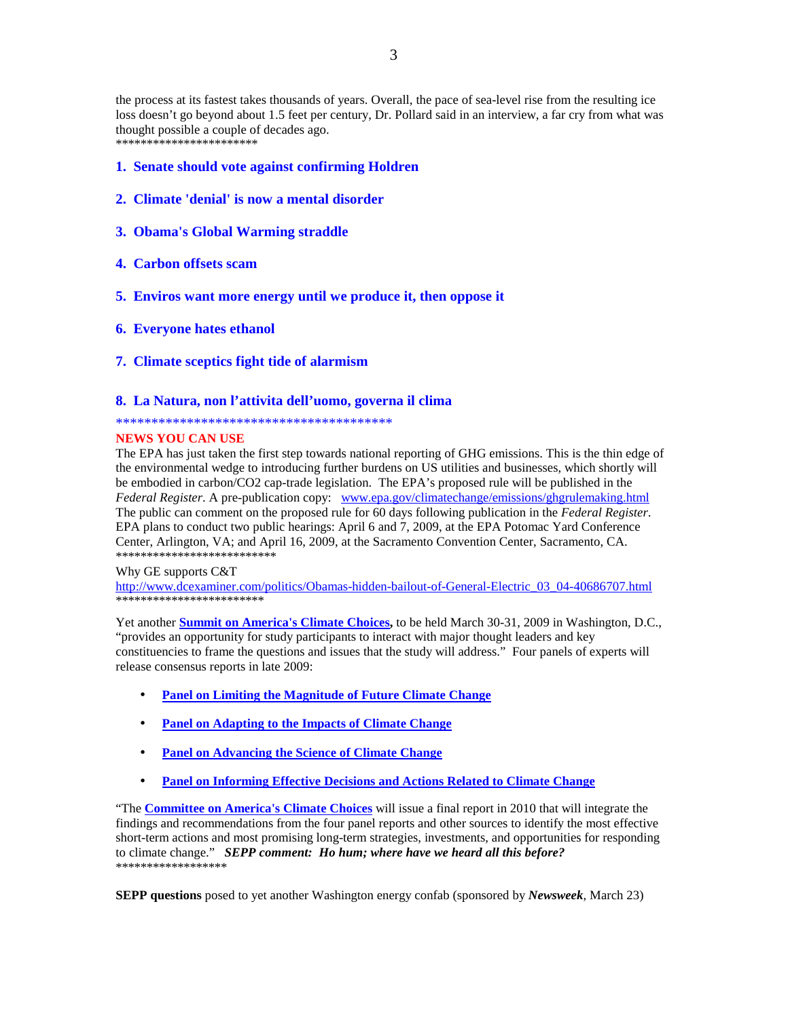the process at its fastest takes thousands of years. Overall, the pace of sea-level rise from the resulting ice loss doesn't go beyond about 1.5 feet per century, Dr. Pollard said in an interview, a far cry from what was thought possible a couple of decades ago.

\*\*\*\*\*\*\*\*\*\*\*\*\*\*\*\*\*\*\*\*\*\*\*

- **1. Senate should vote against confirming Holdren**
- **2. Climate 'denial' is now a mental disorder**
- **3. Obama's Global Warming straddle**
- **4. Carbon offsets scam**
- **5. Enviros want more energy until we produce it, then oppose it**
- **6. Everyone hates ethanol**
- **7. Climate sceptics fight tide of alarmism**

#### **8. La Natura, non l'attivita dell'uomo, governa il clima**

#### \*\*\*\*\*\*\*\*\*\*\*\*\*\*\*\*\*\*\*\*\*\*\*\*\*\*\*\*\*\*\*\*\*\*\*\*\*\*\*

#### **NEWS YOU CAN USE**

The EPA has just taken the first step towards national reporting of GHG emissions. This is the thin edge of the environmental wedge to introducing further burdens on US utilities and businesses, which shortly will be embodied in carbon/CO2 cap-trade legislation. The EPA's proposed rule will be published in the *Federal Register*. A pre-publication copy: www.epa.gov/climatechange/emissions/ghgrulemaking.html The public can comment on the proposed rule for 60 days following publication in the *Federal Register*. EPA plans to conduct two public hearings: April 6 and 7, 2009, at the EPA Potomac Yard Conference Center, Arlington, VA; and April 16, 2009, at the Sacramento Convention Center, Sacramento, CA. \*\*\*\*\*\*\*\*\*\*\*\*\*\*\*\*\*\*\*\*\*\*\*\*\*\*

Why GE supports C&T

http://www.dcexaminer.com/politics/Obamas-hidden-bailout-of-General-Electric\_03\_04-40686707.html \*\*\*\*\*\*\*\*\*\*\*\*\*\*\*\*\*\*\*\*\*

Yet another **Summit on America's Climate Choices,** to be held March 30-31, 2009 in Washington, D.C., "provides an opportunity for study participants to interact with major thought leaders and key constituencies to frame the questions and issues that the study will address." Four panels of experts will release consensus reports in late 2009:

- **Panel on Limiting the Magnitude of Future Climate Change**
- **Panel on Adapting to the Impacts of Climate Change**
- **Panel on Advancing the Science of Climate Change**
- **Panel on Informing Effective Decisions and Actions Related to Climate Change**

"The **Committee on America's Climate Choices** will issue a final report in 2010 that will integrate the findings and recommendations from the four panel reports and other sources to identify the most effective short-term actions and most promising long-term strategies, investments, and opportunities for responding to climate change." *SEPP comment: Ho hum; where have we heard all this before?*  \*\*\*\*\*\*\*\*\*\*\*\*\*\*\*\*\*\*

**SEPP questions** posed to yet another Washington energy confab (sponsored by *Newsweek*, March 23)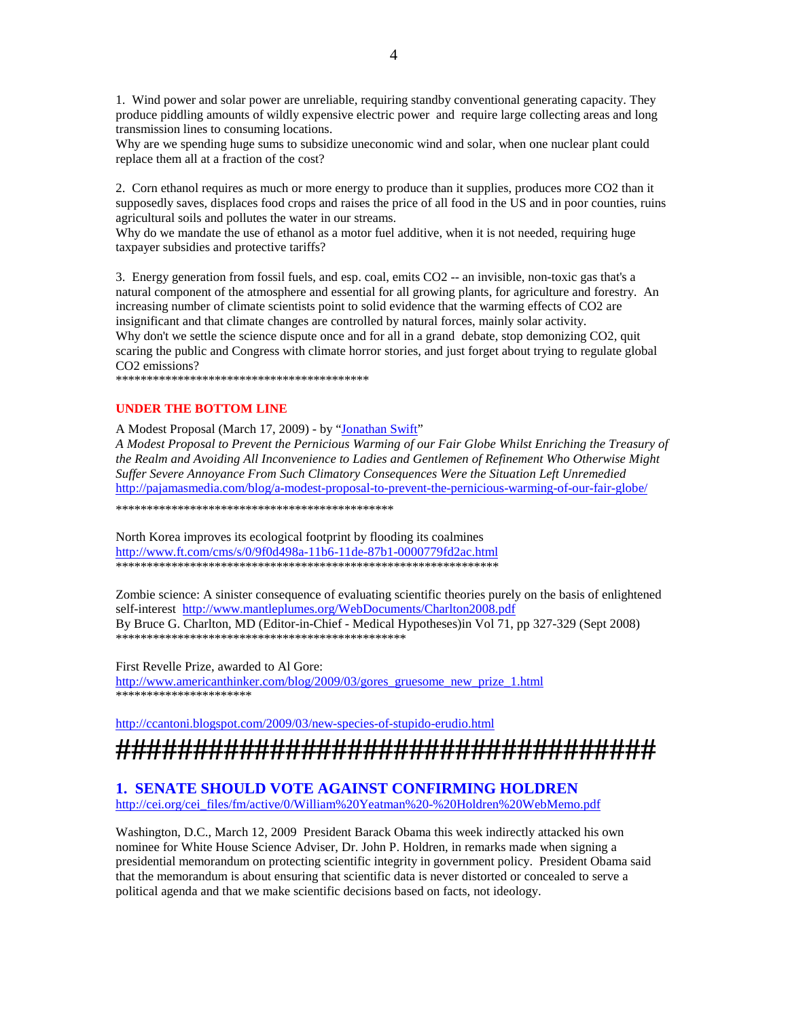1. Wind power and solar power are unreliable, requiring standby conventional generating capacity. They produce piddling amounts of wildly expensive electric power and require large collecting areas and long transmission lines to consuming locations.

Why are we spending huge sums to subsidize uneconomic wind and solar, when one nuclear plant could replace them all at a fraction of the cost?

2. Corn ethanol requires as much or more energy to produce than it supplies, produces more CO2 than it supposedly saves, displaces food crops and raises the price of all food in the US and in poor counties, ruins agricultural soils and pollutes the water in our streams.

Why do we mandate the use of ethanol as a motor fuel additive, when it is not needed, requiring huge taxpayer subsidies and protective tariffs?

3. Energy generation from fossil fuels, and esp. coal, emits CO2 -- an invisible, non-toxic gas that's a natural component of the atmosphere and essential for all growing plants, for agriculture and forestry. An increasing number of climate scientists point to solid evidence that the warming effects of CO2 are insignificant and that climate changes are controlled by natural forces, mainly solar activity. Why don't we settle the science dispute once and for all in a grand debate, stop demonizing CO2, quit scaring the public and Congress with climate horror stories, and just forget about trying to regulate global CO2 emissions? \*\*\*\*\*\*\*\*\*\*\*\*\*\*\*\*\*\*\*\*\*\*\*\*\*\*\*\*\*\*\*\*\*\*\*\*\*\*\*\*\*

#### **UNDER THE BOTTOM LINE**

A Modest Proposal (March 17, 2009) - by "Jonathan Swift"

*A Modest Proposal to Prevent the Pernicious Warming of our Fair Globe Whilst Enriching the Treasury of the Realm and Avoiding All Inconvenience to Ladies and Gentlemen of Refinement Who Otherwise Might Suffer Severe Annoyance From Such Climatory Consequences Were the Situation Left Unremedied*  http://pajamasmedia.com/blog/a-modest-proposal-to-prevent-the-pernicious-warming-of-our-fair-globe/

\*\*\*\*\*\*\*\*\*\*\*\*\*\*\*\*\*\*\*\*\*\*\*\*\*\*\*\*\*\*\*\*\*\*\*\*\*\*\*\*\*\*\*\*\*

North Korea improves its ecological footprint by flooding its coalmines http://www.ft.com/cms/s/0/9f0d498a-11b6-11de-87b1-0000779fd2ac.html \*\*\*\*\*\*\*\*\*\*\*\*\*\*\*\*\*\*\*\*\*\*\*\*\*\*\*\*\*\*\*\*\*\*\*\*\*\*\*\*\*\*\*\*\*\*\*\*\*\*\*\*\*\*\*\*\*\*\*\*\*\*

Zombie science: A sinister consequence of evaluating scientific theories purely on the basis of enlightened self-interest http://www.mantleplumes.org/WebDocuments/Charlton2008.pdf By Bruce G. Charlton, MD (Editor-in-Chief - Medical Hypotheses)in Vol 71, pp 327-329 (Sept 2008) \*\*\*\*\*\*\*\*\*\*\*\*\*\*\*\*\*\*\*\*\*\*\*\*\*\*\*\*\*\*\*\*\*\*\*\*\*\*\*\*\*\*\*\*\*\*\*

First Revelle Prize, awarded to Al Gore: http://www.americanthinker.com/blog/2009/03/gores\_gruesome\_new\_prize\_1.html \*\*\*\*\*\*\*\*\*\*\*\*\*\*\*\*\*\*\*\*\*\*

http://ccantoni.blogspot.com/2009/03/new-species-of-stupido-erudio.html

# **###################################**

## **1. SENATE SHOULD VOTE AGAINST CONFIRMING HOLDREN**

http://cei.org/cei\_files/fm/active/0/William%20Yeatman%20-%20Holdren%20WebMemo.pdf

Washington, D.C., March 12, 2009 President Barack Obama this week indirectly attacked his own nominee for White House Science Adviser, Dr. John P. Holdren, in remarks made when signing a presidential memorandum on protecting scientific integrity in government policy. President Obama said that the memorandum is about ensuring that scientific data is never distorted or concealed to serve a political agenda and that we make scientific decisions based on facts, not ideology.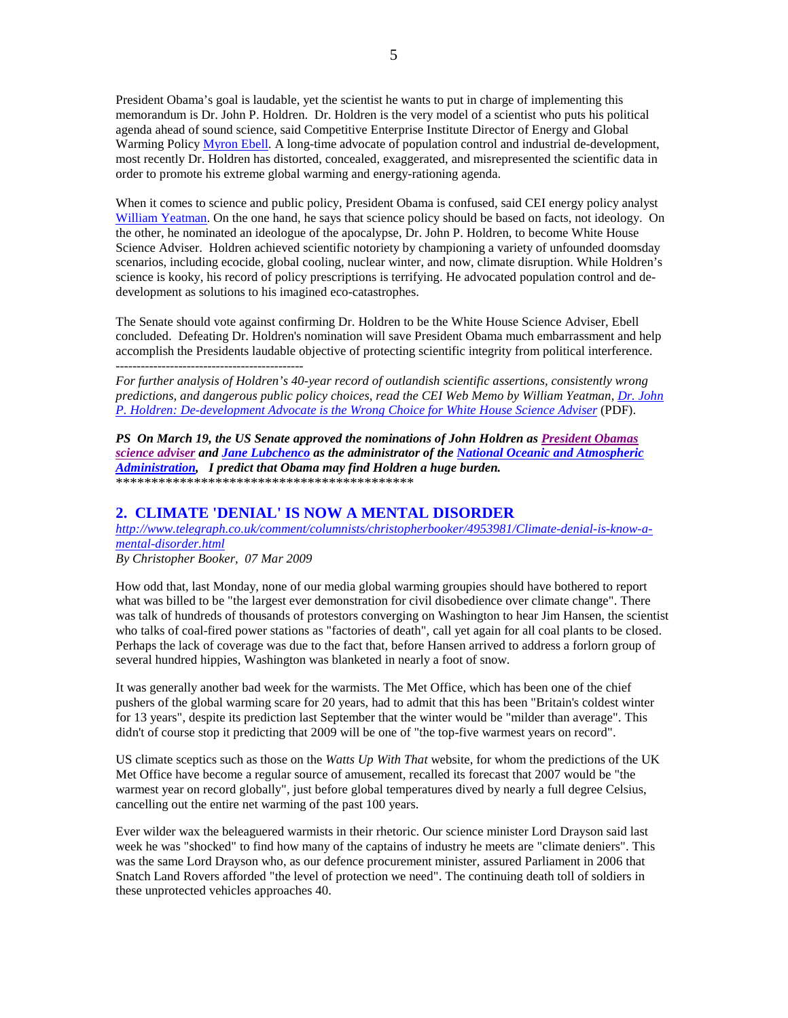President Obama's goal is laudable, yet the scientist he wants to put in charge of implementing this memorandum is Dr. John P. Holdren. Dr. Holdren is the very model of a scientist who puts his political agenda ahead of sound science, said Competitive Enterprise Institute Director of Energy and Global Warming Policy Myron Ebell. A long-time advocate of population control and industrial de-development, most recently Dr. Holdren has distorted, concealed, exaggerated, and misrepresented the scientific data in order to promote his extreme global warming and energy-rationing agenda.

When it comes to science and public policy, President Obama is confused, said CEI energy policy analyst William Yeatman. On the one hand, he says that science policy should be based on facts, not ideology. On the other, he nominated an ideologue of the apocalypse, Dr. John P. Holdren, to become White House Science Adviser. Holdren achieved scientific notoriety by championing a variety of unfounded doomsday scenarios, including ecocide, global cooling, nuclear winter, and now, climate disruption. While Holdren's science is kooky, his record of policy prescriptions is terrifying. He advocated population control and dedevelopment as solutions to his imagined eco-catastrophes.

The Senate should vote against confirming Dr. Holdren to be the White House Science Adviser, Ebell concluded. Defeating Dr. Holdren's nomination will save President Obama much embarrassment and help accomplish the Presidents laudable objective of protecting scientific integrity from political interference. ---------------------------------------------

*For further analysis of Holdren's 40-year record of outlandish scientific assertions, consistently wrong predictions, and dangerous public policy choices, read the CEI Web Memo by William Yeatman, Dr. John P. Holdren: De-development Advocate is the Wrong Choice for White House Science Adviser* (PDF).

*PS On March 19, the US Senate approved the nominations of John Holdren as President Obamas science adviser and Jane Lubchenco as the administrator of the National Oceanic and Atmospheric Administration, I predict that Obama may find Holdren a huge burden.*  \*\*\*\*\*\*\*\*\*\*\*\*\*\*\*\*\*\*\*\*\*\*\*\*\*\*\*\*\*\*\*\*\*\*\*\*\*\*\*\*\*\*

## **2. CLIMATE 'DENIAL' IS NOW A MENTAL DISORDER**

*http://www.telegraph.co.uk/comment/columnists/christopherbooker/4953981/Climate-denial-is-know-amental-disorder.html*

*By Christopher Booker, 07 Mar 2009* 

How odd that, last Monday, none of our media global warming groupies should have bothered to report what was billed to be "the largest ever demonstration for civil disobedience over climate change". There was talk of hundreds of thousands of protestors converging on Washington to hear Jim Hansen, the scientist who talks of coal-fired power stations as "factories of death", call yet again for all coal plants to be closed. Perhaps the lack of coverage was due to the fact that, before Hansen arrived to address a forlorn group of several hundred hippies, Washington was blanketed in nearly a foot of snow.

It was generally another bad week for the warmists. The Met Office, which has been one of the chief pushers of the global warming scare for 20 years, had to admit that this has been "Britain's coldest winter for 13 years", despite its prediction last September that the winter would be "milder than average". This didn't of course stop it predicting that 2009 will be one of "the top-five warmest years on record".

US climate sceptics such as those on the *Watts Up With That* website, for whom the predictions of the UK Met Office have become a regular source of amusement, recalled its forecast that 2007 would be "the warmest year on record globally", just before global temperatures dived by nearly a full degree Celsius, cancelling out the entire net warming of the past 100 years.

Ever wilder wax the beleaguered warmists in their rhetoric. Our science minister Lord Drayson said last week he was "shocked" to find how many of the captains of industry he meets are "climate deniers". This was the same Lord Drayson who, as our defence procurement minister, assured Parliament in 2006 that Snatch Land Rovers afforded "the level of protection we need". The continuing death toll of soldiers in these unprotected vehicles approaches 40.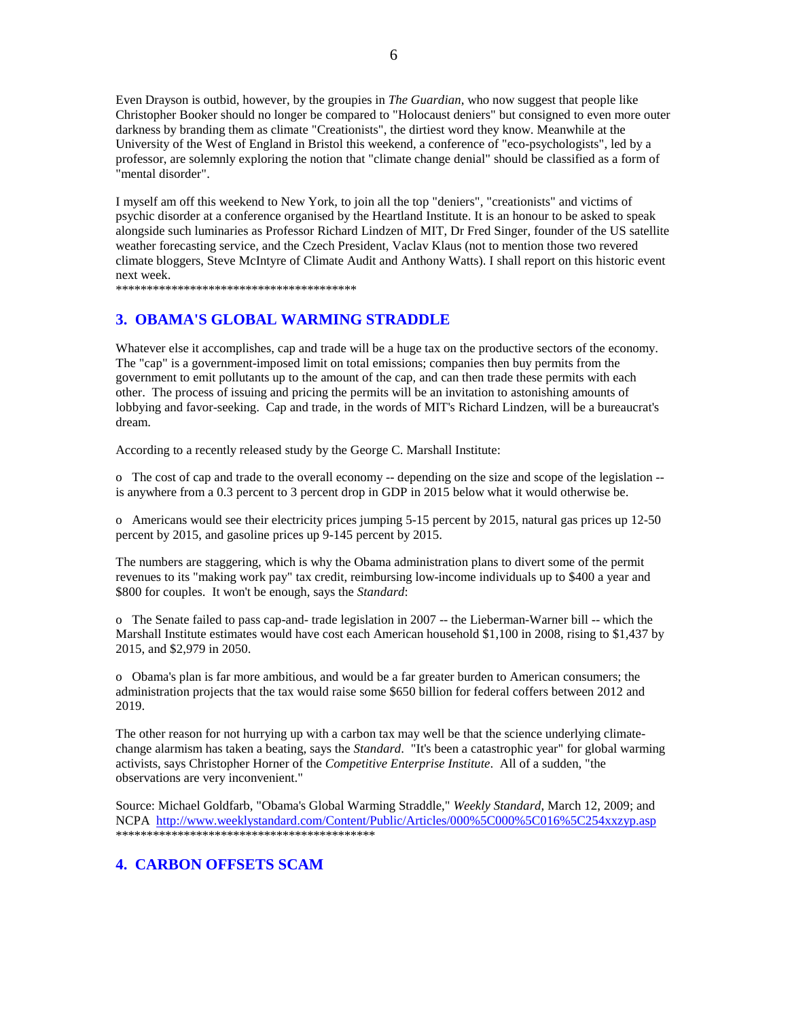Even Drayson is outbid, however, by the groupies in *The Guardian*, who now suggest that people like Christopher Booker should no longer be compared to "Holocaust deniers" but consigned to even more outer darkness by branding them as climate "Creationists", the dirtiest word they know. Meanwhile at the University of the West of England in Bristol this weekend, a conference of "eco-psychologists", led by a professor, are solemnly exploring the notion that "climate change denial" should be classified as a form of "mental disorder".

I myself am off this weekend to New York, to join all the top "deniers", "creationists" and victims of psychic disorder at a conference organised by the Heartland Institute. It is an honour to be asked to speak alongside such luminaries as Professor Richard Lindzen of MIT, Dr Fred Singer, founder of the US satellite weather forecasting service, and the Czech President, Vaclav Klaus (not to mention those two revered climate bloggers, Steve McIntyre of Climate Audit and Anthony Watts). I shall report on this historic event next week.

\*\*\*\*\*\*\*\*\*\*\*\*\*\*\*\*\*\*\*\*\*\*\*\*\*\*\*\*\*\*\*\*\*\*\*\*\*\*\*

## **3. OBAMA'S GLOBAL WARMING STRADDLE**

Whatever else it accomplishes, cap and trade will be a huge tax on the productive sectors of the economy. The "cap" is a government-imposed limit on total emissions; companies then buy permits from the government to emit pollutants up to the amount of the cap, and can then trade these permits with each other. The process of issuing and pricing the permits will be an invitation to astonishing amounts of lobbying and favor-seeking. Cap and trade, in the words of MIT's Richard Lindzen, will be a bureaucrat's dream.

According to a recently released study by the George C. Marshall Institute:

o The cost of cap and trade to the overall economy -- depending on the size and scope of the legislation - is anywhere from a 0.3 percent to 3 percent drop in GDP in 2015 below what it would otherwise be.

o Americans would see their electricity prices jumping 5-15 percent by 2015, natural gas prices up 12-50 percent by 2015, and gasoline prices up 9-145 percent by 2015.

The numbers are staggering, which is why the Obama administration plans to divert some of the permit revenues to its "making work pay" tax credit, reimbursing low-income individuals up to \$400 a year and \$800 for couples. It won't be enough, says the *Standard*:

o The Senate failed to pass cap-and- trade legislation in 2007 -- the Lieberman-Warner bill -- which the Marshall Institute estimates would have cost each American household \$1,100 in 2008, rising to \$1,437 by 2015, and \$2,979 in 2050.

o Obama's plan is far more ambitious, and would be a far greater burden to American consumers; the administration projects that the tax would raise some \$650 billion for federal coffers between 2012 and 2019.

The other reason for not hurrying up with a carbon tax may well be that the science underlying climatechange alarmism has taken a beating, says the *Standard*. "It's been a catastrophic year" for global warming activists, says Christopher Horner of the *Competitive Enterprise Institute*. All of a sudden, "the observations are very inconvenient."

Source: Michael Goldfarb, "Obama's Global Warming Straddle," *Weekly Standard*, March 12, 2009; and NCPA http://www.weeklystandard.com/Content/Public/Articles/000%5C000%5C016%5C254xxzyp.asp \*\*\*\*\*\*\*\*\*\*\*\*\*\*\*\*\*\*\*\*\*\*\*\*\*\*\*\*\*\*\*\*\*\*\*\*\*\*\*\*\*\*

## **4. CARBON OFFSETS SCAM**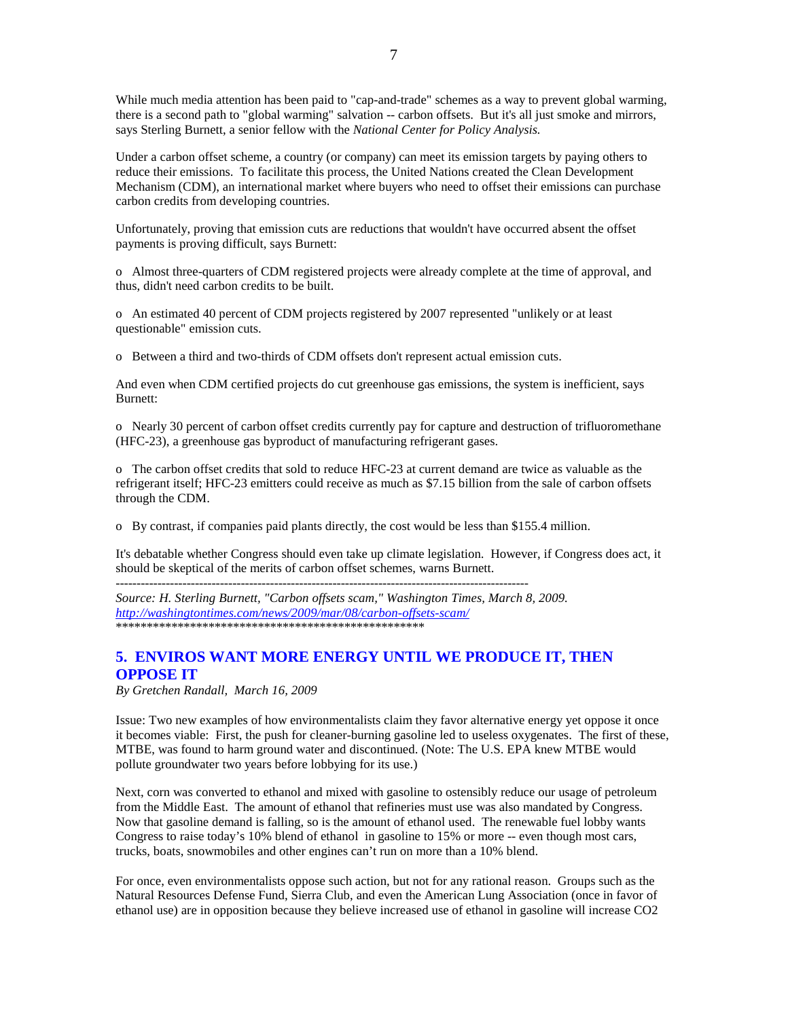While much media attention has been paid to "cap-and-trade" schemes as a way to prevent global warming, there is a second path to "global warming" salvation -- carbon offsets. But it's all just smoke and mirrors, says Sterling Burnett, a senior fellow with the *National Center for Policy Analysis.* 

Under a carbon offset scheme, a country (or company) can meet its emission targets by paying others to reduce their emissions. To facilitate this process, the United Nations created the Clean Development Mechanism (CDM), an international market where buyers who need to offset their emissions can purchase carbon credits from developing countries.

Unfortunately, proving that emission cuts are reductions that wouldn't have occurred absent the offset payments is proving difficult, says Burnett:

o Almost three-quarters of CDM registered projects were already complete at the time of approval, and thus, didn't need carbon credits to be built.

o An estimated 40 percent of CDM projects registered by 2007 represented "unlikely or at least questionable" emission cuts.

o Between a third and two-thirds of CDM offsets don't represent actual emission cuts.

And even when CDM certified projects do cut greenhouse gas emissions, the system is inefficient, says Burnett:

o Nearly 30 percent of carbon offset credits currently pay for capture and destruction of trifluoromethane (HFC-23), a greenhouse gas byproduct of manufacturing refrigerant gases.

o The carbon offset credits that sold to reduce HFC-23 at current demand are twice as valuable as the refrigerant itself; HFC-23 emitters could receive as much as \$7.15 billion from the sale of carbon offsets through the CDM.

o By contrast, if companies paid plants directly, the cost would be less than \$155.4 million.

It's debatable whether Congress should even take up climate legislation. However, if Congress does act, it should be skeptical of the merits of carbon offset schemes, warns Burnett.

 $-$ 

*Source: H. Sterling Burnett, "Carbon offsets scam," Washington Times, March 8, 2009. http://washingtontimes.com/news/2009/mar/08/carbon-offsets-scam/* \*\*\*\*\*\*\*\*\*\*\*\*\*\*\*\*\*\*\*\*\*\*\*\*\*\*\*\*\*\*\*\*\*\*\*\*\*\*\*\*\*\*\*\*\*\*\*\*\*\*

## **5. ENVIROS WANT MORE ENERGY UNTIL WE PRODUCE IT, THEN OPPOSE IT**

*By Gretchen Randall, March 16, 2009* 

Issue: Two new examples of how environmentalists claim they favor alternative energy yet oppose it once it becomes viable: First, the push for cleaner-burning gasoline led to useless oxygenates. The first of these, MTBE, was found to harm ground water and discontinued. (Note: The U.S. EPA knew MTBE would pollute groundwater two years before lobbying for its use.)

Next, corn was converted to ethanol and mixed with gasoline to ostensibly reduce our usage of petroleum from the Middle East. The amount of ethanol that refineries must use was also mandated by Congress. Now that gasoline demand is falling, so is the amount of ethanol used. The renewable fuel lobby wants Congress to raise today's 10% blend of ethanol in gasoline to 15% or more -- even though most cars, trucks, boats, snowmobiles and other engines can't run on more than a 10% blend.

For once, even environmentalists oppose such action, but not for any rational reason. Groups such as the Natural Resources Defense Fund, Sierra Club, and even the American Lung Association (once in favor of ethanol use) are in opposition because they believe increased use of ethanol in gasoline will increase CO2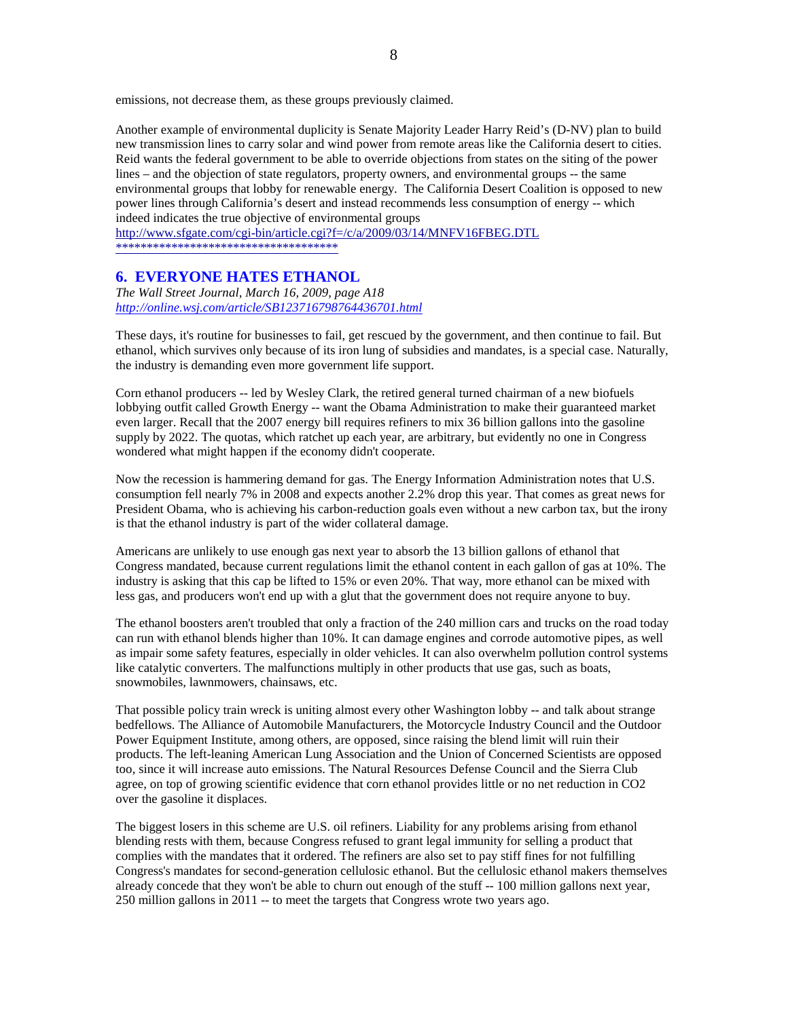emissions, not decrease them, as these groups previously claimed.

Another example of environmental duplicity is Senate Majority Leader Harry Reid's (D-NV) plan to build new transmission lines to carry solar and wind power from remote areas like the California desert to cities. Reid wants the federal government to be able to override objections from states on the siting of the power lines – and the objection of state regulators, property owners, and environmental groups -- the same environmental groups that lobby for renewable energy. The California Desert Coalition is opposed to new power lines through California's desert and instead recommends less consumption of energy -- which indeed indicates the true objective of environmental groups

http://www.sfgate.com/cgi-bin/article.cgi?f=/c/a/2009/03/14/MNFV16FBEG.DTL \*\*\*\*\*\*\*\*\*\*\*\*\*\*\*\*\*\*\*\*\*\*\*\*\*\*\*\*\*\*\*\*\*\*\*\*

## **6. EVERYONE HATES ETHANOL**

*The Wall Street Journal, March 16, 2009, page A18 http://online.wsj.com/article/SB123716798764436701.html*

These days, it's routine for businesses to fail, get rescued by the government, and then continue to fail. But ethanol, which survives only because of its iron lung of subsidies and mandates, is a special case. Naturally, the industry is demanding even more government life support.

Corn ethanol producers -- led by Wesley Clark, the retired general turned chairman of a new biofuels lobbying outfit called Growth Energy -- want the Obama Administration to make their guaranteed market even larger. Recall that the 2007 energy bill requires refiners to mix 36 billion gallons into the gasoline supply by 2022. The quotas, which ratchet up each year, are arbitrary, but evidently no one in Congress wondered what might happen if the economy didn't cooperate.

Now the recession is hammering demand for gas. The Energy Information Administration notes that U.S. consumption fell nearly 7% in 2008 and expects another 2.2% drop this year. That comes as great news for President Obama, who is achieving his carbon-reduction goals even without a new carbon tax, but the irony is that the ethanol industry is part of the wider collateral damage.

Americans are unlikely to use enough gas next year to absorb the 13 billion gallons of ethanol that Congress mandated, because current regulations limit the ethanol content in each gallon of gas at 10%. The industry is asking that this cap be lifted to 15% or even 20%. That way, more ethanol can be mixed with less gas, and producers won't end up with a glut that the government does not require anyone to buy.

The ethanol boosters aren't troubled that only a fraction of the 240 million cars and trucks on the road today can run with ethanol blends higher than 10%. It can damage engines and corrode automotive pipes, as well as impair some safety features, especially in older vehicles. It can also overwhelm pollution control systems like catalytic converters. The malfunctions multiply in other products that use gas, such as boats, snowmobiles, lawnmowers, chainsaws, etc.

That possible policy train wreck is uniting almost every other Washington lobby -- and talk about strange bedfellows. The Alliance of Automobile Manufacturers, the Motorcycle Industry Council and the Outdoor Power Equipment Institute, among others, are opposed, since raising the blend limit will ruin their products. The left-leaning American Lung Association and the Union of Concerned Scientists are opposed too, since it will increase auto emissions. The Natural Resources Defense Council and the Sierra Club agree, on top of growing scientific evidence that corn ethanol provides little or no net reduction in CO2 over the gasoline it displaces.

The biggest losers in this scheme are U.S. oil refiners. Liability for any problems arising from ethanol blending rests with them, because Congress refused to grant legal immunity for selling a product that complies with the mandates that it ordered. The refiners are also set to pay stiff fines for not fulfilling Congress's mandates for second-generation cellulosic ethanol. But the cellulosic ethanol makers themselves already concede that they won't be able to churn out enough of the stuff -- 100 million gallons next year, 250 million gallons in 2011 -- to meet the targets that Congress wrote two years ago.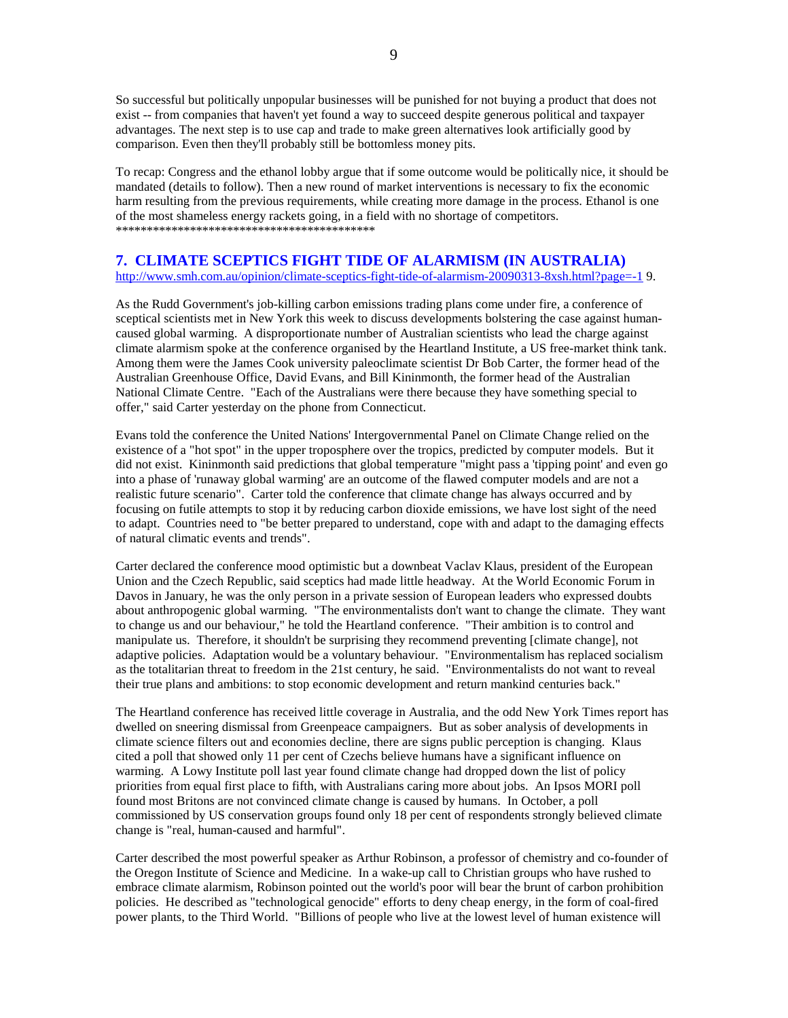So successful but politically unpopular businesses will be punished for not buying a product that does not exist -- from companies that haven't yet found a way to succeed despite generous political and taxpayer advantages. The next step is to use cap and trade to make green alternatives look artificially good by comparison. Even then they'll probably still be bottomless money pits.

To recap: Congress and the ethanol lobby argue that if some outcome would be politically nice, it should be mandated (details to follow). Then a new round of market interventions is necessary to fix the economic harm resulting from the previous requirements, while creating more damage in the process. Ethanol is one of the most shameless energy rackets going, in a field with no shortage of competitors. \*\*\*\*\*\*\*\*\*\*\*\*\*\*\*\*\*\*\*\*\*\*\*\*\*\*\*\*\*\*\*\*\*\*\*\*\*\*\*\*\*\*

## **7. CLIMATE SCEPTICS FIGHT TIDE OF ALARMISM (IN AUSTRALIA)**

http://www.smh.com.au/opinion/climate-sceptics-fight-tide-of-alarmism-20090313-8xsh.html?page=-1 9.

As the Rudd Government's job-killing carbon emissions trading plans come under fire, a conference of sceptical scientists met in New York this week to discuss developments bolstering the case against humancaused global warming. A disproportionate number of Australian scientists who lead the charge against climate alarmism spoke at the conference organised by the Heartland Institute, a US free-market think tank. Among them were the James Cook university paleoclimate scientist Dr Bob Carter, the former head of the Australian Greenhouse Office, David Evans, and Bill Kininmonth, the former head of the Australian National Climate Centre. "Each of the Australians were there because they have something special to offer," said Carter yesterday on the phone from Connecticut.

Evans told the conference the United Nations' Intergovernmental Panel on Climate Change relied on the existence of a "hot spot" in the upper troposphere over the tropics, predicted by computer models. But it did not exist. Kininmonth said predictions that global temperature "might pass a 'tipping point' and even go into a phase of 'runaway global warming' are an outcome of the flawed computer models and are not a realistic future scenario". Carter told the conference that climate change has always occurred and by focusing on futile attempts to stop it by reducing carbon dioxide emissions, we have lost sight of the need to adapt. Countries need to "be better prepared to understand, cope with and adapt to the damaging effects of natural climatic events and trends".

Carter declared the conference mood optimistic but a downbeat Vaclav Klaus, president of the European Union and the Czech Republic, said sceptics had made little headway. At the World Economic Forum in Davos in January, he was the only person in a private session of European leaders who expressed doubts about anthropogenic global warming. "The environmentalists don't want to change the climate. They want to change us and our behaviour," he told the Heartland conference. "Their ambition is to control and manipulate us. Therefore, it shouldn't be surprising they recommend preventing [climate change], not adaptive policies. Adaptation would be a voluntary behaviour. "Environmentalism has replaced socialism as the totalitarian threat to freedom in the 21st century, he said. "Environmentalists do not want to reveal their true plans and ambitions: to stop economic development and return mankind centuries back."

The Heartland conference has received little coverage in Australia, and the odd New York Times report has dwelled on sneering dismissal from Greenpeace campaigners. But as sober analysis of developments in climate science filters out and economies decline, there are signs public perception is changing. Klaus cited a poll that showed only 11 per cent of Czechs believe humans have a significant influence on warming. A Lowy Institute poll last year found climate change had dropped down the list of policy priorities from equal first place to fifth, with Australians caring more about jobs. An Ipsos MORI poll found most Britons are not convinced climate change is caused by humans. In October, a poll commissioned by US conservation groups found only 18 per cent of respondents strongly believed climate change is "real, human-caused and harmful".

Carter described the most powerful speaker as Arthur Robinson, a professor of chemistry and co-founder of the Oregon Institute of Science and Medicine. In a wake-up call to Christian groups who have rushed to embrace climate alarmism, Robinson pointed out the world's poor will bear the brunt of carbon prohibition policies. He described as "technological genocide" efforts to deny cheap energy, in the form of coal-fired power plants, to the Third World. "Billions of people who live at the lowest level of human existence will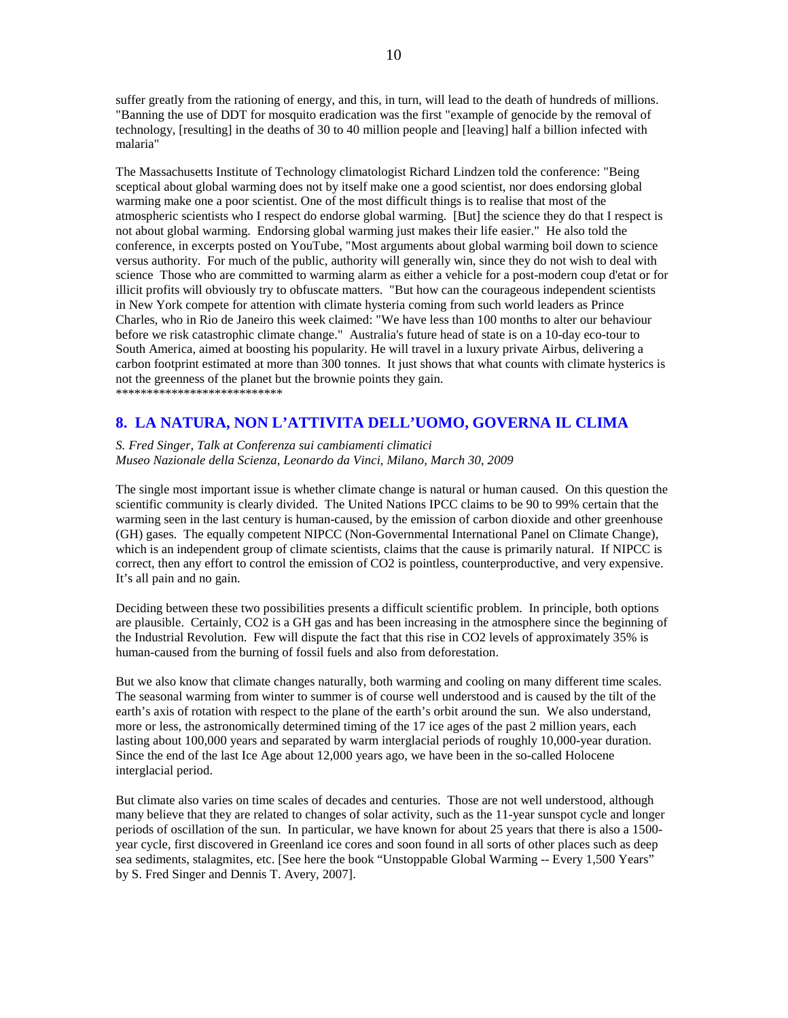suffer greatly from the rationing of energy, and this, in turn, will lead to the death of hundreds of millions. "Banning the use of DDT for mosquito eradication was the first "example of genocide by the removal of technology, [resulting] in the deaths of 30 to 40 million people and [leaving] half a billion infected with malaria"

The Massachusetts Institute of Technology climatologist Richard Lindzen told the conference: "Being sceptical about global warming does not by itself make one a good scientist, nor does endorsing global warming make one a poor scientist. One of the most difficult things is to realise that most of the atmospheric scientists who I respect do endorse global warming. [But] the science they do that I respect is not about global warming. Endorsing global warming just makes their life easier." He also told the conference, in excerpts posted on YouTube, "Most arguments about global warming boil down to science versus authority. For much of the public, authority will generally win, since they do not wish to deal with science Those who are committed to warming alarm as either a vehicle for a post-modern coup d'etat or for illicit profits will obviously try to obfuscate matters. "But how can the courageous independent scientists in New York compete for attention with climate hysteria coming from such world leaders as Prince Charles, who in Rio de Janeiro this week claimed: "We have less than 100 months to alter our behaviour before we risk catastrophic climate change." Australia's future head of state is on a 10-day eco-tour to South America, aimed at boosting his popularity. He will travel in a luxury private Airbus, delivering a carbon footprint estimated at more than 300 tonnes. It just shows that what counts with climate hysterics is not the greenness of the planet but the brownie points they gain. \*\*\*\*\*\*\*\*\*\*\*\*\*\*\*\*\*\*\*\*\*\*\*\*\*\*\*

## **8. LA NATURA, NON L'ATTIVITA DELL'UOMO, GOVERNA IL CLIMA**

*S. Fred Singer, Talk at Conferenza sui cambiamenti climatici Museo Nazionale della Scienza, Leonardo da Vinci, Milano, March 30, 2009* 

The single most important issue is whether climate change is natural or human caused. On this question the scientific community is clearly divided. The United Nations IPCC claims to be 90 to 99% certain that the warming seen in the last century is human-caused, by the emission of carbon dioxide and other greenhouse (GH) gases. The equally competent NIPCC (Non-Governmental International Panel on Climate Change), which is an independent group of climate scientists, claims that the cause is primarily natural. If NIPCC is correct, then any effort to control the emission of CO2 is pointless, counterproductive, and very expensive. It's all pain and no gain.

Deciding between these two possibilities presents a difficult scientific problem. In principle, both options are plausible. Certainly, CO2 is a GH gas and has been increasing in the atmosphere since the beginning of the Industrial Revolution. Few will dispute the fact that this rise in CO2 levels of approximately 35% is human-caused from the burning of fossil fuels and also from deforestation.

But we also know that climate changes naturally, both warming and cooling on many different time scales. The seasonal warming from winter to summer is of course well understood and is caused by the tilt of the earth's axis of rotation with respect to the plane of the earth's orbit around the sun. We also understand, more or less, the astronomically determined timing of the 17 ice ages of the past 2 million years, each lasting about 100,000 years and separated by warm interglacial periods of roughly 10,000-year duration. Since the end of the last Ice Age about 12,000 years ago, we have been in the so-called Holocene interglacial period.

But climate also varies on time scales of decades and centuries. Those are not well understood, although many believe that they are related to changes of solar activity, such as the 11-year sunspot cycle and longer periods of oscillation of the sun. In particular, we have known for about 25 years that there is also a 1500 year cycle, first discovered in Greenland ice cores and soon found in all sorts of other places such as deep sea sediments, stalagmites, etc. [See here the book "Unstoppable Global Warming -- Every 1,500 Years" by S. Fred Singer and Dennis T. Avery, 2007].